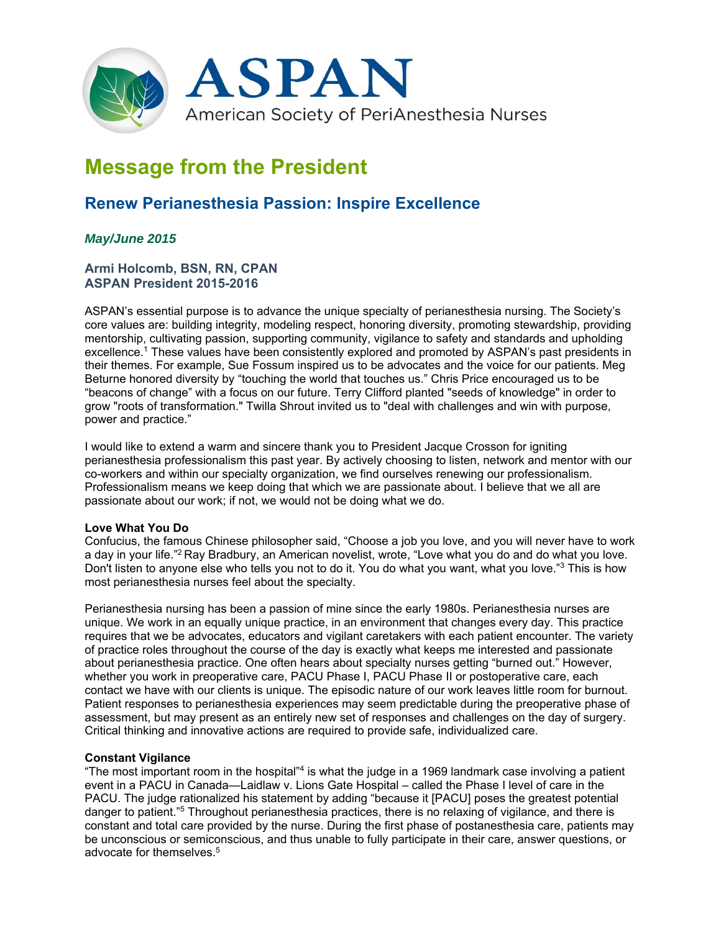

# **Message from the President**

# **Renew Perianesthesia Passion: Inspire Excellence**

# *May/June 2015*

# **Armi Holcomb, BSN, RN, CPAN ASPAN President 2015-2016**

ASPAN's essential purpose is to advance the unique specialty of perianesthesia nursing. The Society's core values are: building integrity, modeling respect, honoring diversity, promoting stewardship, providing mentorship, cultivating passion, supporting community, vigilance to safety and standards and upholding excellence.1 These values have been consistently explored and promoted by ASPAN's past presidents in their themes. For example, Sue Fossum inspired us to be advocates and the voice for our patients. Meg Beturne honored diversity by "touching the world that touches us." Chris Price encouraged us to be "beacons of change" with a focus on our future. Terry Clifford planted "seeds of knowledge" in order to grow "roots of transformation." Twilla Shrout invited us to "deal with challenges and win with purpose, power and practice."

I would like to extend a warm and sincere thank you to President Jacque Crosson for igniting perianesthesia professionalism this past year. By actively choosing to listen, network and mentor with our co-workers and within our specialty organization, we find ourselves renewing our professionalism. Professionalism means we keep doing that which we are passionate about. I believe that we all are passionate about our work; if not, we would not be doing what we do.

# **Love What You Do**

Confucius, the famous Chinese philosopher said, "Choose a job you love, and you will never have to work a day in your life."2 Ray Bradbury, an American novelist, wrote, "Love what you do and do what you love. Don't listen to anyone else who tells you not to do it. You do what you want, what you love."3 This is how most perianesthesia nurses feel about the specialty.

Perianesthesia nursing has been a passion of mine since the early 1980s. Perianesthesia nurses are unique. We work in an equally unique practice, in an environment that changes every day. This practice requires that we be advocates, educators and vigilant caretakers with each patient encounter. The variety of practice roles throughout the course of the day is exactly what keeps me interested and passionate about perianesthesia practice. One often hears about specialty nurses getting "burned out." However, whether you work in preoperative care, PACU Phase I, PACU Phase II or postoperative care, each contact we have with our clients is unique. The episodic nature of our work leaves little room for burnout. Patient responses to perianesthesia experiences may seem predictable during the preoperative phase of assessment, but may present as an entirely new set of responses and challenges on the day of surgery. Critical thinking and innovative actions are required to provide safe, individualized care.

#### **Constant Vigilance**

"The most important room in the hospital" $4$  is what the judge in a 1969 landmark case involving a patient event in a PACU in Canada—Laidlaw v. Lions Gate Hospital – called the Phase I level of care in the PACU. The judge rationalized his statement by adding "because it [PACU] poses the greatest potential danger to patient."<sup>5</sup> Throughout perianesthesia practices, there is no relaxing of vigilance, and there is constant and total care provided by the nurse. During the first phase of postanesthesia care, patients may be unconscious or semiconscious, and thus unable to fully participate in their care, answer questions, or advocate for themselves.<sup>5</sup>